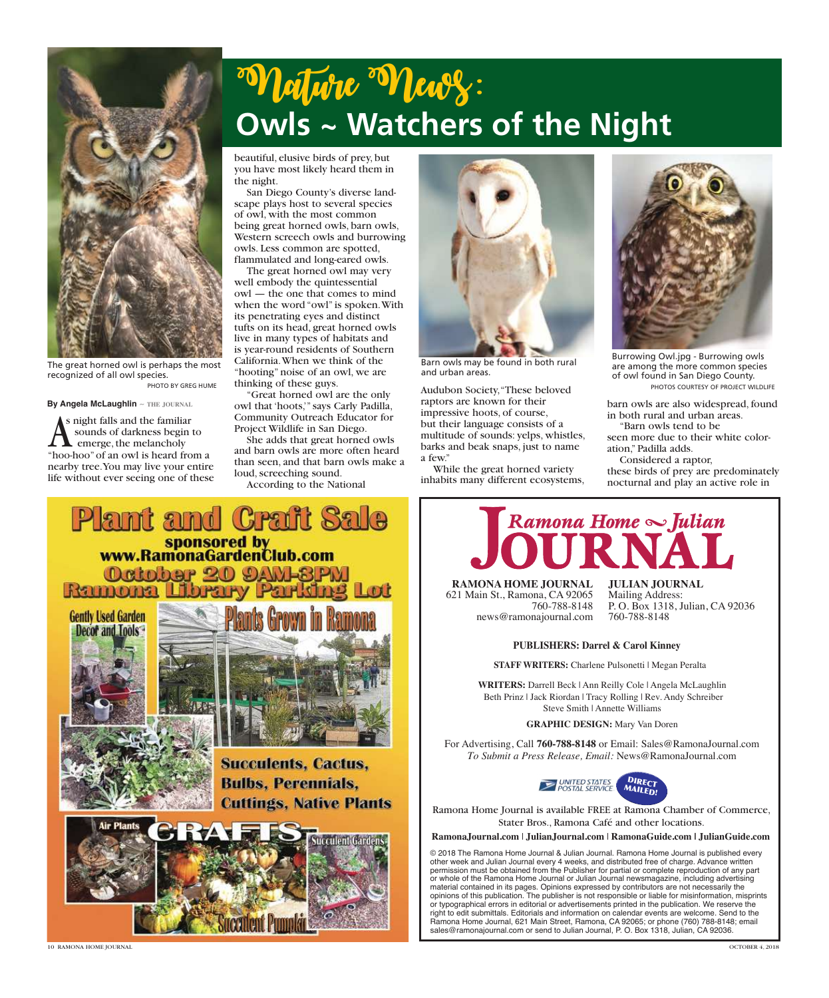

The great horned owl is perhaps the most recognized of all owl species. PHOTO BY GREG HUME

**By Angela McLaughlin** ~ **the journal**

**A** s night falls and the familiar<br>sounds of darkness begin to<br>"hoo-hoo" of an owl is heard from a s night falls and the familiar sounds of darkness begin to emerge, the melancholy nearby tree. You may live your entire life without ever seeing one of these

## "Vlature "Vlewy: **Owls ~ Watchers of the Night**

beautiful, elusive birds of prey, but you have most likely heard them in the night.

San Diego County's diverse landscape plays host to several species of owl, with the most common being great horned owls, barn owls, Western screech owls and burrowing owls. Less common are spotted, flammulated and long-eared owls.

The great horned owl may very well embody the quintessential owl — the one that comes to mind when the word "owl" is spoken. With its penetrating eyes and distinct tufts on its head, great horned owls live in many types of habitats and is year-round residents of Southern California. When we think of the "hooting" noise of an owl, we are thinking of these guys.

Great horned owl are the only owl that 'hoots,'" says Carly Padilla, Community Outreach Educator for Project Wildlife in San Diego.

She adds that great horned owls and barn owls are more often heard than seen, and that barn owls make a loud, screeching sound.

According to the National



Barn owls may be found in both rural and urban areas.

Audubon Society, "These beloved raptors are known for their impressive hoots, of course, but their language consists of a multitude of sounds: yelps, whistles, barks and beak snaps, just to name a few."

While the great horned variety inhabits many different ecosystems,



Burrowing Owl.jpg - Burrowing owls are among the more common species of owl found in San Diego County. PHOTOS COURTESY OF PROJECT WILDLIFE

barn owls are also widespread, found in both rural and urban areas. "Barn owls tend to be

seen more due to their white coloration," Padilla adds.

Considered a raptor,

these birds of prey are predominately nocturnal and play an active role in



*Ramona Home Julian*

**RAMONA HOME JOURNAL** 621 Main St., Ramona, CA 92065 760-788-8148 news@ramonajournal.com **JULIAN JOURNAL** Mailing Address: P. O. Box 1318, Julian, CA 92036 760-788-8148

## **PUBLISHERS: Darrel & Carol Kinney**

**STAFF WRITERS:** Charlene Pulsonetti | Megan Peralta

**WRITERS:** Darrell Beck | Ann Reilly Cole | Angela McLaughlin Beth Prinz | Jack Riordan | Tracy Rolling | Rev. Andy Schreiber Steve Smith | Annette Williams

**GRAPHIC DESIGN:** Mary Van Doren

For Advertising, Call **760-788-8148** or Email: Sales@RamonaJournal.com *To Submit a Press Release, Email:* News@RamonaJournal.com



Ramona Home Journal is available FREE at Ramona Chamber of Commerce, Stater Bros., Ramona Café and other locations.

**RamonaJournal.com** | **JulianJournal.com** | **RamonaGuide.com | JulianGuide.com**

© 2018 The Ramona Home Journal & Julian Journal. Ramona Home Journal is published every other week and Julian Journal every 4 weeks, and distributed free of charge. Advance written permission must be obtained from the Publisher for partial or complete reproduction of any part or whole of the Ramona Home Journal or Julian Journal newsmagazine, including advertising material contained in its pages. Opinions expressed by contributors are not necessarily the opinions of this publication. The publisher is not responsible or liable for misinformation, misprints or typographical errors in editorial or advertisements printed in the publication. We reserve the right to edit submittals. Editorials and information on calendar events are welcome. Send to the Ramona Home Journal, 621 Main Street, Ramona, CA 92065; or phone (760) 788-8148; email sales@ramonajournal.com or send to Julian Journal, P. O. Box 1318, Julian, CA 92036.